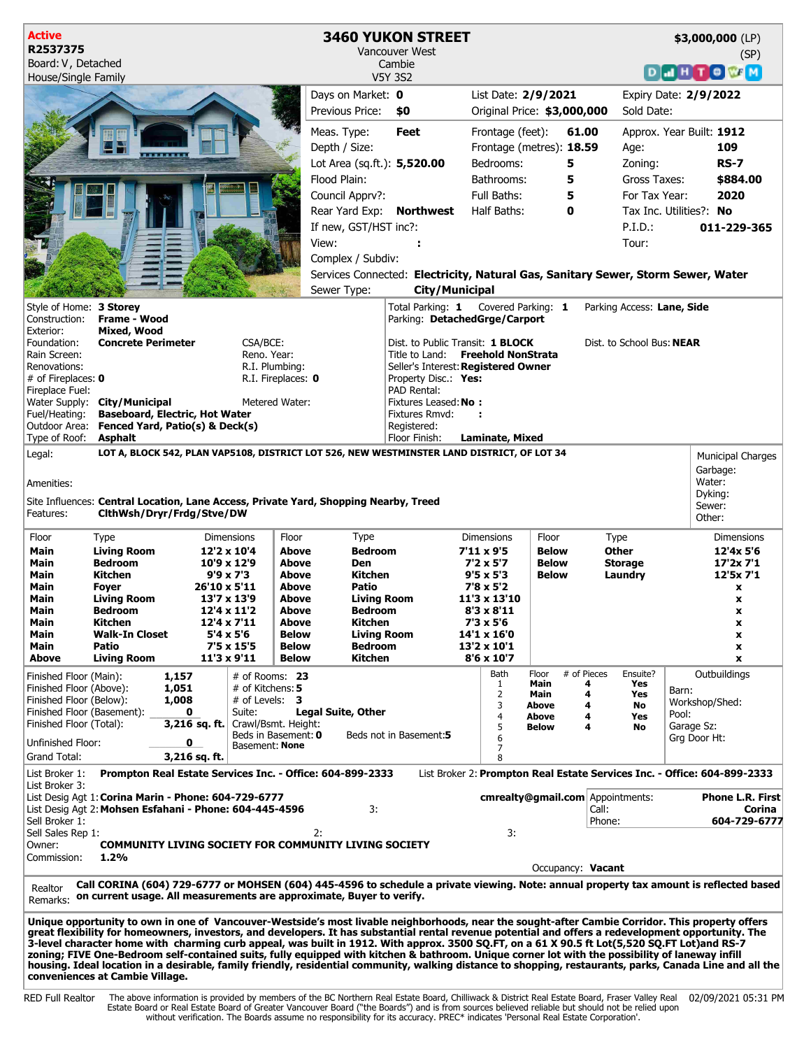| <b>Active</b>                                                                                                                                                                                                                                                                                            |                                                                                                                                                                                                                |                                                       |                                                                       | <b>3460 YUKON STREET</b>                                                         |                                                   |                                  |                                                    |                              |                                | \$3,000,000 (LP)           |                          |                        |  |
|----------------------------------------------------------------------------------------------------------------------------------------------------------------------------------------------------------------------------------------------------------------------------------------------------------|----------------------------------------------------------------------------------------------------------------------------------------------------------------------------------------------------------------|-------------------------------------------------------|-----------------------------------------------------------------------|----------------------------------------------------------------------------------|---------------------------------------------------|----------------------------------|----------------------------------------------------|------------------------------|--------------------------------|----------------------------|--------------------------|------------------------|--|
| R2537375<br>Board: V, Detached                                                                                                                                                                                                                                                                           |                                                                                                                                                                                                                |                                                       |                                                                       | Vancouver West<br>Cambie                                                         |                                                   |                                  |                                                    |                              |                                | (SP)                       |                          |                        |  |
| House/Single Family                                                                                                                                                                                                                                                                                      |                                                                                                                                                                                                                |                                                       |                                                                       | <b>V5Y 3S2</b>                                                                   |                                                   |                                  |                                                    |                              |                                |                            |                          |                        |  |
|                                                                                                                                                                                                                                                                                                          |                                                                                                                                                                                                                |                                                       |                                                                       | Days on Market: 0<br>Previous Price:                                             | \$0                                               |                                  | List Date: 2/9/2021<br>Original Price: \$3,000,000 |                              |                                | Sold Date:                 | Expiry Date: 2/9/2022    |                        |  |
|                                                                                                                                                                                                                                                                                                          |                                                                                                                                                                                                                |                                                       |                                                                       | Meas. Type:                                                                      | <b>Feet</b>                                       |                                  | Frontage (feet):                                   |                              | 61.00                          |                            | Approx. Year Built: 1912 | 109                    |  |
|                                                                                                                                                                                                                                                                                                          |                                                                                                                                                                                                                |                                                       |                                                                       | Depth / Size:<br>Lot Area (sq.ft.): 5,520.00                                     |                                                   |                                  | Frontage (metres): 18.59<br>Bedrooms:              |                              | 5                              | Age:<br>Zoning:            |                          | <b>RS-7</b>            |  |
|                                                                                                                                                                                                                                                                                                          |                                                                                                                                                                                                                |                                                       |                                                                       | Flood Plain:                                                                     |                                                   |                                  | Bathrooms:                                         |                              | 5                              | Gross Taxes:               |                          | \$884.00               |  |
|                                                                                                                                                                                                                                                                                                          |                                                                                                                                                                                                                |                                                       |                                                                       | Council Apprv?:                                                                  |                                                   |                                  | Full Baths:                                        |                              | 5                              | For Tax Year:              |                          | 2020                   |  |
|                                                                                                                                                                                                                                                                                                          |                                                                                                                                                                                                                |                                                       | Rear Yard Exp: Northwest                                              |                                                                                  |                                                   | Half Baths:                      | 0                                                  |                              |                                | Tax Inc. Utilities?: No    |                          |                        |  |
|                                                                                                                                                                                                                                                                                                          |                                                                                                                                                                                                                |                                                       | If new, GST/HST inc?:                                                 |                                                                                  |                                                   |                                  |                                                    |                              | $P.I.D.$ :                     |                            | 011-229-365              |                        |  |
|                                                                                                                                                                                                                                                                                                          |                                                                                                                                                                                                                |                                                       |                                                                       | View:                                                                            |                                                   |                                  |                                                    |                              |                                | Tour:                      |                          |                        |  |
|                                                                                                                                                                                                                                                                                                          |                                                                                                                                                                                                                |                                                       |                                                                       | Complex / Subdiv:                                                                |                                                   |                                  |                                                    |                              |                                |                            |                          |                        |  |
|                                                                                                                                                                                                                                                                                                          |                                                                                                                                                                                                                |                                                       |                                                                       | Services Connected: Electricity, Natural Gas, Sanitary Sewer, Storm Sewer, Water |                                                   |                                  |                                                    |                              |                                |                            |                          |                        |  |
|                                                                                                                                                                                                                                                                                                          |                                                                                                                                                                                                                |                                                       |                                                                       | <b>City/Municipal</b><br>Sewer Type:                                             |                                                   |                                  |                                                    |                              |                                |                            |                          |                        |  |
| Style of Home: 3 Storey<br>Construction:                                                                                                                                                                                                                                                                 | Frame - Wood                                                                                                                                                                                                   |                                                       |                                                                       |                                                                                  | Total Parking: 1<br>Parking: DetachedGrge/Carport |                                  | Covered Parking: 1                                 |                              |                                | Parking Access: Lane, Side |                          |                        |  |
| Exterior:                                                                                                                                                                                                                                                                                                | <b>Mixed, Wood</b>                                                                                                                                                                                             |                                                       |                                                                       |                                                                                  |                                                   |                                  |                                                    |                              |                                |                            |                          |                        |  |
| Foundation:<br>Rain Screen:                                                                                                                                                                                                                                                                              | <b>Concrete Perimeter</b>                                                                                                                                                                                      | CSA/BCE:<br>Reno. Year:                               | Dist. to Public Transit: 1 BLOCK<br>Title to Land: Freehold NonStrata |                                                                                  |                                                   |                                  |                                                    |                              | Dist. to School Bus: NEAR      |                            |                          |                        |  |
| Renovations:                                                                                                                                                                                                                                                                                             |                                                                                                                                                                                                                | R.I. Plumbina:<br>Seller's Interest: Registered Owner |                                                                       |                                                                                  |                                                   |                                  |                                                    |                              |                                |                            |                          |                        |  |
| # of Fireplaces: $0$                                                                                                                                                                                                                                                                                     |                                                                                                                                                                                                                | R.I. Fireplaces: 0                                    | Property Disc.: Yes:<br>PAD Rental:                                   |                                                                                  |                                                   |                                  |                                                    |                              |                                |                            |                          |                        |  |
| Fireplace Fuel:                                                                                                                                                                                                                                                                                          | Water Supply: City/Municipal                                                                                                                                                                                   | Metered Water:                                        | Fixtures Leased: No:                                                  |                                                                                  |                                                   |                                  |                                                    |                              |                                |                            |                          |                        |  |
| Fuel/Heating:                                                                                                                                                                                                                                                                                            | <b>Baseboard, Electric, Hot Water</b>                                                                                                                                                                          |                                                       | Fixtures Rmvd:                                                        |                                                                                  |                                                   |                                  |                                                    |                              |                                |                            |                          |                        |  |
| Outdoor Area: Fenced Yard, Patio(s) & Deck(s)<br>Registered:<br>Type of Roof:<br><b>Asphalt</b><br>Floor Finish:<br>Laminate, Mixed                                                                                                                                                                      |                                                                                                                                                                                                                |                                                       |                                                                       |                                                                                  |                                                   |                                  |                                                    |                              |                                |                            |                          |                        |  |
| Legal:                                                                                                                                                                                                                                                                                                   | LOT A, BLOCK 542, PLAN VAP5108, DISTRICT LOT 526, NEW WESTMINSTER LAND DISTRICT, OF LOT 34                                                                                                                     |                                                       |                                                                       |                                                                                  |                                                   |                                  |                                                    |                              |                                |                            |                          | Municipal Charges      |  |
|                                                                                                                                                                                                                                                                                                          |                                                                                                                                                                                                                |                                                       |                                                                       |                                                                                  |                                                   |                                  |                                                    |                              |                                |                            |                          | Garbage:               |  |
| Water:<br>Amenities:<br>Dyking:                                                                                                                                                                                                                                                                          |                                                                                                                                                                                                                |                                                       |                                                                       |                                                                                  |                                                   |                                  |                                                    |                              |                                |                            |                          |                        |  |
| Features:                                                                                                                                                                                                                                                                                                | Site Influences: Central Location, Lane Access, Private Yard, Shopping Nearby, Treed<br>CithWsh/Dryr/Frdg/Stve/DW                                                                                              |                                                       |                                                                       |                                                                                  |                                                   |                                  |                                                    |                              |                                |                            | Sewer:<br>Other:         |                        |  |
| Floor                                                                                                                                                                                                                                                                                                    | Type                                                                                                                                                                                                           | Floor<br><b>Dimensions</b>                            |                                                                       | Type                                                                             |                                                   |                                  | <b>Dimensions</b><br>Floor                         |                              | Type                           |                            |                          | <b>Dimensions</b>      |  |
| <b>Main</b><br><b>Main</b>                                                                                                                                                                                                                                                                               | <b>Living Room</b><br><b>Bedroom</b>                                                                                                                                                                           | 12'2 x 10'4<br>10'9 x 12'9                            | Above<br>Above                                                        | <b>Bedroom</b><br>Den                                                            |                                                   | 7'11 x 9'5<br>$7'2 \times 5'7$   |                                                    | <b>Below</b><br><b>Below</b> | <b>Other</b><br><b>Storage</b> |                            | 12'4x 5'6<br>17'2x 7'1   |                        |  |
| <b>Main</b>                                                                                                                                                                                                                                                                                              | Kitchen                                                                                                                                                                                                        | $9'9 \times 7'3$                                      | <b>Above</b>                                                          | Kitchen                                                                          |                                                   |                                  | <b>Below</b><br>$9'5 \times 5'3$                   |                              | Laundry                        |                            | 12'5x 7'1                |                        |  |
| Main<br>Main                                                                                                                                                                                                                                                                                             | Foyer                                                                                                                                                                                                          | 26'10 x 5'11                                          | Above<br>Above                                                        | Patio                                                                            |                                                   | $7'8 \times 5'2$<br>11'3 x 13'10 |                                                    |                              |                                |                            | x<br>x                   |                        |  |
| Main                                                                                                                                                                                                                                                                                                     | <b>Living Room</b><br><b>Bedroom</b>                                                                                                                                                                           | 13'7 x 13'9<br>$12'4 \times 11'2$                     | Above                                                                 | <b>Living Room</b><br><b>Bedroom</b>                                             |                                                   |                                  | $8'3 \times 8'11$                                  |                              |                                | x                          |                          |                        |  |
| Main                                                                                                                                                                                                                                                                                                     | <b>Kitchen</b>                                                                                                                                                                                                 | 12'4 x 7'11                                           | <b>Above</b>                                                          | <b>Kitchen</b>                                                                   |                                                   |                                  | $7'3 \times 5'6$<br>14'1 x 16'0                    |                              |                                |                            | x                        |                        |  |
| Main<br>Main                                                                                                                                                                                                                                                                                             | <b>Walk-In Closet</b><br>Patio                                                                                                                                                                                 | $5'4 \times 5'6$<br>7'5 x 15'5                        | <b>Below</b><br><b>Below</b>                                          | <b>Living Room</b><br><b>Bedroom</b>                                             |                                                   |                                  | 13'2 x 10'1                                        |                              |                                |                            |                          | x<br>x                 |  |
| Above                                                                                                                                                                                                                                                                                                    | <b>Living Room</b>                                                                                                                                                                                             | $11'3 \times 9'11$                                    | <b>Below</b>                                                          | Kitchen                                                                          |                                                   |                                  | 8'6 x 10'7                                         |                              |                                |                            |                          | x                      |  |
| Finished Floor (Main):                                                                                                                                                                                                                                                                                   | 1,157                                                                                                                                                                                                          |                                                       | $#$ of Rooms: 23                                                      |                                                                                  |                                                   |                                  | Bath<br>1                                          | Floor<br>Main                | # of Pieces<br>4               | Ensuite?<br>Yes            |                          | Outbuildings           |  |
| Finished Floor (Above):<br>Finished Floor (Below):                                                                                                                                                                                                                                                       | 1,051<br>1,008                                                                                                                                                                                                 |                                                       | $#$ of Kitchens: 5<br># of Levels: $3$                                |                                                                                  |                                                   |                                  | $\overline{2}$                                     | Main                         | 4                              | Yes                        | Barn:<br>Workshop/Shed:  |                        |  |
| Finished Floor (Basement):                                                                                                                                                                                                                                                                               | 0                                                                                                                                                                                                              | Suite:                                                |                                                                       | <b>Legal Suite, Other</b>                                                        |                                                   |                                  | 3<br>$\overline{4}$                                | Above<br>Above               | 4<br>4                         | No<br>Yes                  | Pool:                    |                        |  |
| Finished Floor (Total):                                                                                                                                                                                                                                                                                  |                                                                                                                                                                                                                | 3,216 sq. ft.                                         | Crawl/Bsmt. Height:<br>Beds in Basement: 0                            |                                                                                  | Beds not in Basement:5                            |                                  | 5                                                  | <b>Below</b>                 | 4                              | No                         | Garage Sz:               |                        |  |
| Unfinished Floor:                                                                                                                                                                                                                                                                                        |                                                                                                                                                                                                                | 0                                                     | Basement: None                                                        |                                                                                  |                                                   |                                  | 6<br>7                                             |                              |                                |                            | Grg Door Ht:             |                        |  |
| Grand Total:                                                                                                                                                                                                                                                                                             |                                                                                                                                                                                                                | 3,216 sq. ft.                                         |                                                                       |                                                                                  |                                                   |                                  | 8                                                  |                              |                                |                            |                          |                        |  |
| List Broker 2: Prompton Real Estate Services Inc. - Office: 604-899-2333<br>Prompton Real Estate Services Inc. - Office: 604-899-2333<br>List Broker 1:<br>List Broker 3:                                                                                                                                |                                                                                                                                                                                                                |                                                       |                                                                       |                                                                                  |                                                   |                                  |                                                    |                              |                                |                            |                          |                        |  |
| List Desig Agt 1: Corina Marin - Phone: 604-729-6777<br>cmrealty@gmail.com Appointments:<br>Phone L.R. First                                                                                                                                                                                             |                                                                                                                                                                                                                |                                                       |                                                                       |                                                                                  |                                                   |                                  |                                                    |                              |                                |                            |                          |                        |  |
| Sell Broker 1:                                                                                                                                                                                                                                                                                           | List Desig Agt 2: Mohsen Esfahani - Phone: 604-445-4596                                                                                                                                                        |                                                       |                                                                       | 3:                                                                               |                                                   |                                  |                                                    |                              | Call:<br>Phone:                |                            |                          | Corina<br>604-729-6777 |  |
| Sell Sales Rep 1:                                                                                                                                                                                                                                                                                        |                                                                                                                                                                                                                |                                                       |                                                                       | 2:                                                                               |                                                   |                                  | 3:                                                 |                              |                                |                            |                          |                        |  |
| Owner:<br><b>COMMUNITY LIVING SOCIETY FOR COMMUNITY LIVING SOCIETY</b><br>Commission:<br>1.2%                                                                                                                                                                                                            |                                                                                                                                                                                                                |                                                       |                                                                       |                                                                                  |                                                   |                                  |                                                    |                              |                                |                            |                          |                        |  |
| Occupancy: Vacant                                                                                                                                                                                                                                                                                        |                                                                                                                                                                                                                |                                                       |                                                                       |                                                                                  |                                                   |                                  |                                                    |                              |                                |                            |                          |                        |  |
| Realtor<br>Remarks:                                                                                                                                                                                                                                                                                      | Call CORINA (604) 729-6777 or MOHSEN (604) 445-4596 to schedule a private viewing. Note: annual property tax amount is reflected based<br>on current usage. All measurements are approximate, Buyer to verify. |                                                       |                                                                       |                                                                                  |                                                   |                                  |                                                    |                              |                                |                            |                          |                        |  |
|                                                                                                                                                                                                                                                                                                          |                                                                                                                                                                                                                |                                                       |                                                                       |                                                                                  |                                                   |                                  |                                                    |                              |                                |                            |                          |                        |  |
| Unique opportunity to own in one of Vancouver-Westside's most livable neighborhoods, near the sought-after Cambie Corridor. This property offers<br>great flexibility for homeowners, investors, and developers. It has substantial rental revenue potential and offers a redevelopment opportunity. The |                                                                                                                                                                                                                |                                                       |                                                                       |                                                                                  |                                                   |                                  |                                                    |                              |                                |                            |                          |                        |  |
| 3-level character home with charming curb appeal, was built in 1912. With approx. 3500 SQ.FT, on a 61 X 90.5 ft Lot(5,520 SQ.FT Lot)and RS-7<br>zoning; FIVE One-Bedroom self-contained suits, fully equipped with kitchen & bathroom. Unique corner lot with the possibility of laneway infill          |                                                                                                                                                                                                                |                                                       |                                                                       |                                                                                  |                                                   |                                  |                                                    |                              |                                |                            |                          |                        |  |
| housing. Ideal location in a desirable, family friendly, residential community, walking distance to shopping, restaurants, parks, Canada Line and all the                                                                                                                                                |                                                                                                                                                                                                                |                                                       |                                                                       |                                                                                  |                                                   |                                  |                                                    |                              |                                |                            |                          |                        |  |
|                                                                                                                                                                                                                                                                                                          | conveniences at Cambie Village.                                                                                                                                                                                |                                                       |                                                                       |                                                                                  |                                                   |                                  |                                                    |                              |                                |                            |                          |                        |  |
| <b>RED Full Realtor</b>                                                                                                                                                                                                                                                                                  | The above information is provided by members of the BC Northern Real Estate Board, Chilliwack & District Real Estate Board, Fraser Valley Real 02/09/2021 05:31 PM                                             |                                                       |                                                                       |                                                                                  |                                                   |                                  |                                                    |                              |                                |                            |                          |                        |  |

RED Full Realtor The above information is provided by members of the BC Northern Real Estate Board, Chilliwack & District Real Estate Board, Fraser Valley Real<br>Estate Board or Real Estate Board of Greater Vancouver Board (